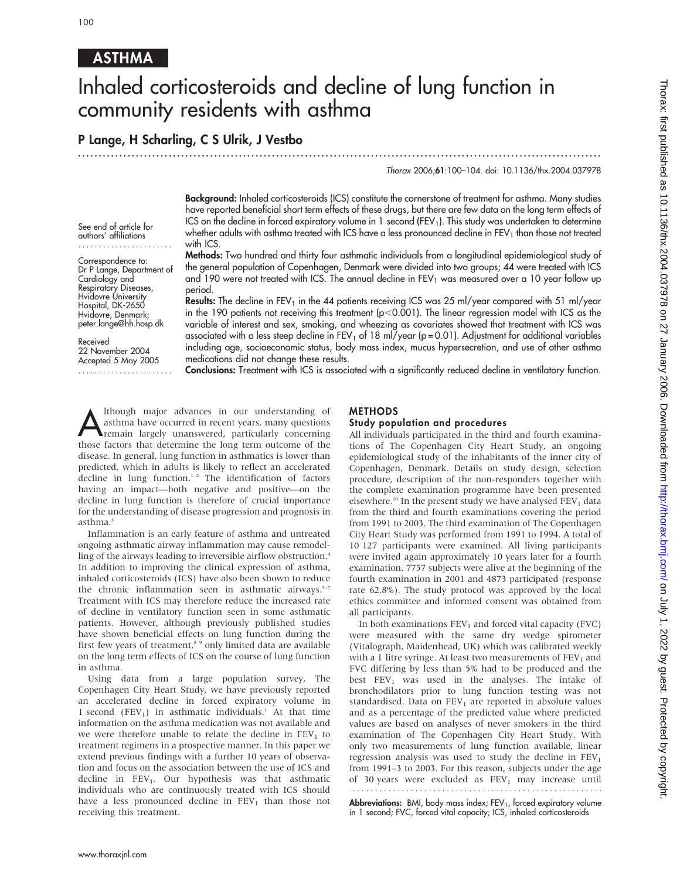# ASTHMA

# Inhaled corticosteroids and decline of lung function in community residents with asthma

P Lange, H Scharling, C S Ulrik, J Vestbo

Thorax 2006;61:100–104. doi: 10.1136/thx.2004.037978

have reported beneficial short term effects of these drugs, but there are few data on the long term effects of ICS on the decline in forced expiratory volume in 1 second ( $FEV<sub>1</sub>$ ). This study was undertaken to determine whether adults with asthma treated with ICS have a less pronounced decline in  $FEV<sub>1</sub>$  than those not treated with ICS.

.............................................................................................................................. .

Methods: Two hundred and thirty four asthmatic individuals from a longitudinal epidemiological study of the general population of Copenhagen, Denmark were divided into two groups; 44 were treated with ICS and 190 were not treated with ICS. The annual decline in FEV<sub>1</sub> was measured over a 10 year follow up period.

Background: Inhaled corticosteroids (ICS) constitute the cornerstone of treatment for asthma. Many studies

Results: The decline in FEV<sub>1</sub> in the 44 patients receiving ICS was 25 ml/year compared with 51 ml/year in the 190 patients not receiving this treatment  $(p< 0.001)$ . The linear regression model with ICS as the variable of interest and sex, smoking, and wheezing as covariates showed that treatment with ICS was associated with a less steep decline in FEV<sub>1</sub> of 18 ml/year (p=0.01). Adjustment for additional variables including age, socioeconomic status, body mass index, mucus hypersecretion, and use of other asthma medications did not change these results.

See end of article for authors' affiliations .......................

Correspondence to: Dr P Lange, Department of Cardiology and Respiratory Diseases, Hvidovre University Hospital, DK-2650 Hvidovre, Denmark; peter.lange@hh.hosp.dk

Received 22 November 2004 Accepted 5 May 2005 .......................

Conclusions: Treatment with ICS is associated with a significantly reduced decline in ventilatory function.

Although major advances in our understanding of<br>asthma have occurred in recent years, many questions<br>remain largely unanswered, particularly concerning<br>these factors that determine the long term outcome of the asthma have occurred in recent years, many questions remain largely unanswered, particularly concerning those factors that determine the long term outcome of the disease. In general, lung function in asthmatics is lower than predicted, which in adults is likely to reflect an accelerated decline in lung function.<sup>1.2</sup> The identification of factors having an impact—both negative and positive—on the decline in lung function is therefore of crucial importance for the understanding of disease progression and prognosis in asthma.<sup>3</sup>

Inflammation is an early feature of asthma and untreated ongoing asthmatic airway inflammation may cause remodelling of the airways leading to irreversible airflow obstruction.4 In addition to improving the clinical expression of asthma, inhaled corticosteroids (ICS) have also been shown to reduce the chronic inflammation seen in asthmatic airways. $5-7$ Treatment with ICS may therefore reduce the increased rate of decline in ventilatory function seen in some asthmatic patients. However, although previously published studies have shown beneficial effects on lung function during the first few years of treatment,<sup>8</sup> ° only limited data are available on the long term effects of ICS on the course of lung function in asthma.

Using data from a large population survey, The Copenhagen City Heart Study, we have previously reported an accelerated decline in forced expiratory volume in 1 second (FEV<sub>1</sub>) in asthmatic individuals.<sup>1</sup> At that time information on the asthma medication was not available and we were therefore unable to relate the decline in  $FEV<sub>1</sub>$  to treatment regimens in a prospective manner. In this paper we extend previous findings with a further 10 years of observation and focus on the association between the use of ICS and decline in  $FEV<sub>1</sub>$ . Our hypothesis was that asthmatic individuals who are continuously treated with ICS should have a less pronounced decline in  $FEV<sub>1</sub>$  than those not receiving this treatment.

## METHODS

### Study population and procedures

All individuals participated in the third and fourth examinations of The Copenhagen City Heart Study, an ongoing epidemiological study of the inhabitants of the inner city of Copenhagen, Denmark. Details on study design, selection procedure, description of the non-responders together with the complete examination programme have been presented elsewhere.<sup>10</sup> In the present study we have analysed  $FEV<sub>1</sub>$  data from the third and fourth examinations covering the period from 1991 to 2003. The third examination of The Copenhagen City Heart Study was performed from 1991 to 1994. A total of 10 127 participants were examined. All living participants were invited again approximately 10 years later for a fourth examination. 7757 subjects were alive at the beginning of the fourth examination in 2001 and 4873 participated (response rate 62.8%). The study protocol was approved by the local ethics committee and informed consent was obtained from all participants.

In both examinations  $FEV<sub>1</sub>$  and forced vital capacity (FVC) were measured with the same dry wedge spirometer (Vitalograph, Maidenhead, UK) which was calibrated weekly with a 1 litre syringe. At least two measurements of  $FEV<sub>1</sub>$  and FVC differing by less than 5% had to be produced and the best  $FEV<sub>1</sub>$  was used in the analyses. The intake of bronchodilators prior to lung function testing was not standardised. Data on  $FEV<sub>1</sub>$  are reported in absolute values and as a percentage of the predicted value where predicted values are based on analyses of never smokers in the third examination of The Copenhagen City Heart Study. With only two measurements of lung function available, linear regression analysis was used to study the decline in  $FEV<sub>1</sub>$ from 1991–3 to 2003. For this reason, subjects under the age of 30 years were excluded as  $FEV_1$  may increase until

**Abbreviations:** BMI, body mass index;  $FEV<sub>1</sub>$ , forced expiratory volume in 1 second; FVC, forced vital capacity; ICS, inhaled corticosteroids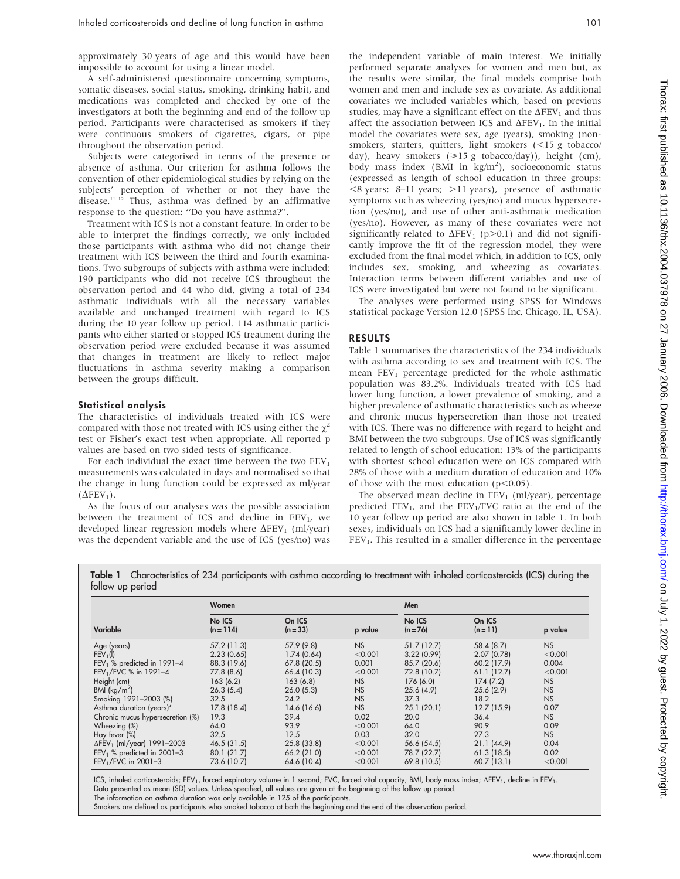approximately 30 years of age and this would have been impossible to account for using a linear model.

A self-administered questionnaire concerning symptoms, somatic diseases, social status, smoking, drinking habit, and medications was completed and checked by one of the investigators at both the beginning and end of the follow up period. Participants were characterised as smokers if they were continuous smokers of cigarettes, cigars, or pipe throughout the observation period.

Subjects were categorised in terms of the presence or absence of asthma. Our criterion for asthma follows the convention of other epidemiological studies by relying on the subjects' perception of whether or not they have the disease.11 12 Thus, asthma was defined by an affirmative response to the question: ''Do you have asthma?''.

Treatment with ICS is not a constant feature. In order to be able to interpret the findings correctly, we only included those participants with asthma who did not change their treatment with ICS between the third and fourth examinations. Two subgroups of subjects with asthma were included: 190 participants who did not receive ICS throughout the observation period and 44 who did, giving a total of 234 asthmatic individuals with all the necessary variables available and unchanged treatment with regard to ICS during the 10 year follow up period. 114 asthmatic participants who either started or stopped ICS treatment during the observation period were excluded because it was assumed that changes in treatment are likely to reflect major fluctuations in asthma severity making a comparison between the groups difficult.

#### Statistical analysis

The characteristics of individuals treated with ICS were compared with those not treated with ICS using either the  $\chi^2$ test or Fisher's exact test when appropriate. All reported p values are based on two sided tests of significance.

For each individual the exact time between the two  $FEV<sub>1</sub>$ measurements was calculated in days and normalised so that the change in lung function could be expressed as ml/year  $(\Delta$ FEV<sub>1</sub>).

As the focus of our analyses was the possible association between the treatment of ICS and decline in  $FEV<sub>1</sub>$ , we developed linear regression models where  $\Delta$ FEV<sub>1</sub> (ml/year) was the dependent variable and the use of ICS (yes/no) was the independent variable of main interest. We initially performed separate analyses for women and men but, as the results were similar, the final models comprise both women and men and include sex as covariate. As additional covariates we included variables which, based on previous studies, may have a significant effect on the  $\Delta$ FEV<sub>1</sub> and thus affect the association between ICS and  $\Delta$ FEV<sub>1</sub>. In the initial model the covariates were sex, age (years), smoking (nonsmokers, starters, quitters, light smokers  $\langle$  <15 g tobacco/ day), heavy smokers  $(\geq 15 \text{ g tobacco/day})$ , height (cm), body mass index (BMI in kg/m<sup>2</sup>), socioeconomic status (expressed as length of school education in three groups:  $<$ 8 years; 8–11 years; >11 years), presence of asthmatic symptoms such as wheezing (yes/no) and mucus hypersecretion (yes/no), and use of other anti-asthmatic medication (yes/no). However, as many of these covariates were not significantly related to  $\Delta$ FEV<sub>1</sub> (p>0.1) and did not significantly improve the fit of the regression model, they were excluded from the final model which, in addition to ICS, only includes sex, smoking, and wheezing as covariates. Interaction terms between different variables and use of ICS were investigated but were not found to be significant.

The analyses were performed using SPSS for Windows statistical package Version 12.0 (SPSS Inc, Chicago, IL, USA).

#### RESULTS

Table 1 summarises the characteristics of the 234 individuals with asthma according to sex and treatment with ICS. The mean  $FEV<sub>1</sub>$  percentage predicted for the whole asthmatic population was 83.2%. Individuals treated with ICS had lower lung function, a lower prevalence of smoking, and a higher prevalence of asthmatic characteristics such as wheeze and chronic mucus hypersecretion than those not treated with ICS. There was no difference with regard to height and BMI between the two subgroups. Use of ICS was significantly related to length of school education: 13% of the participants with shortest school education were on ICS compared with 28% of those with a medium duration of education and 10% of those with the most education  $(p<0.05)$ .

The observed mean decline in  $FEV<sub>1</sub>$  (ml/year), percentage predicted  $FEV_1$ , and the  $FEV_1/FVC$  ratio at the end of the 10 year follow up period are also shown in table 1. In both sexes, individuals on ICS had a significantly lower decline in  $FEV<sub>1</sub>$ . This resulted in a smaller difference in the percentage

Table 1 Characteristics of 234 participants with asthma according to treatment with inhaled corticosteroids (ICS) during the follow up period

|                                               | Women                 |                      |           | Men                  |                      |           |
|-----------------------------------------------|-----------------------|----------------------|-----------|----------------------|----------------------|-----------|
| Variable                                      | No ICS<br>$(n = 114)$ | On ICS<br>$(n = 33)$ | p value   | No ICS<br>$(n = 76)$ | On ICS<br>$(n = 11)$ | p value   |
| Age (years)                                   | 57.2 (11.3)           | 57.9 (9.8)           | NS        | 51.7 (12.7)          | 58.4 (8.7)           | <b>NS</b> |
| FEV <sub>1</sub> (I)                          | 2.23(0.65)            | 1.74(0.64)           | < 0.001   | 3.22(0.99)           | 2.07(0.78)           | < 0.001   |
| FEV <sub>1</sub> % predicted in 1991-4        | 88.3 (19.6)           | $67.8$ (20.5)        | 0.001     | 85.7 (20.6)          | 60.2 (17.9)          | 0.004     |
| FEV <sub>1</sub> /FVC % in 1991-4             | 77.8(8.6)             | 66.4 (10.3)          | < 0.001   | 72.8 (10.7)          | 61.1(12.7)           | < 0.001   |
| Height (cm)                                   | 163(6.2)              | 163(6.8)             | NS        | 176(6.0)             | 174(7.2)             | NS        |
| BMI $(kq/m^2)$                                | 26.3(5.4)             | 26.0(5.3)            | <b>NS</b> | 25.6(4.9)            | 25.6(2.9)            | NS        |
| Smoking 1991-2003 (%)                         | 32.5                  | 24.2                 | <b>NS</b> | 37.3                 | 18.2                 | NS        |
| Asthma duration (years)*                      | 17.8(18.4)            | 14.6(16.6)           | NS        | 25.1(20.1)           | 12.7(15.9)           | 0.07      |
| Chronic mucus hypersecretion (%)              | 19.3                  | 39.4                 | 0.02      | 20.0                 | 36.4                 | NS        |
| Wheezing (%)                                  | 64.0                  | 93.9                 | < 0.001   | 64.0                 | 90.9                 | 0.09      |
| Hay fever (%)                                 | 32.5                  | 12.5                 | 0.03      | 32.0                 | 27.3                 | NS        |
| $\Delta$ FEV <sub>1</sub> (ml/year) 1991-2003 | 46.5 (31.5)           | 25.8 (33.8)          | < 0.001   | 56.6 (54.5)          | 21.1(44.9)           | 0.04      |
| FEV <sub>1</sub> % predicted in 2001-3        | 80.1(21.7)            | 66.2 (21.0)          | < 0.001   | 78.7 (22.7)          | 61.3(18.5)           | 0.02      |
| FEV <sub>1</sub> /FVC in 2001-3               | 73.6 (10.7)           | 64.6 (10.4)          | < 0.001   | 69.8 (10.5)          | 60.7(13.1)           | < 0.001   |

ICS, inhaled corticosteroids; FEV1, forced expiratory volume in 1 second; FVC, forced vital capacity; BMI, body mass index; ΔFEV1, decline in FEV1.<br>Data presented as mean (SD) values. Unless specified, all values are give

The information on asthma duration was only available in 125 of the participants. Smokers are defined as participants who smoked tobacco at both the beginning and the end of the observation period.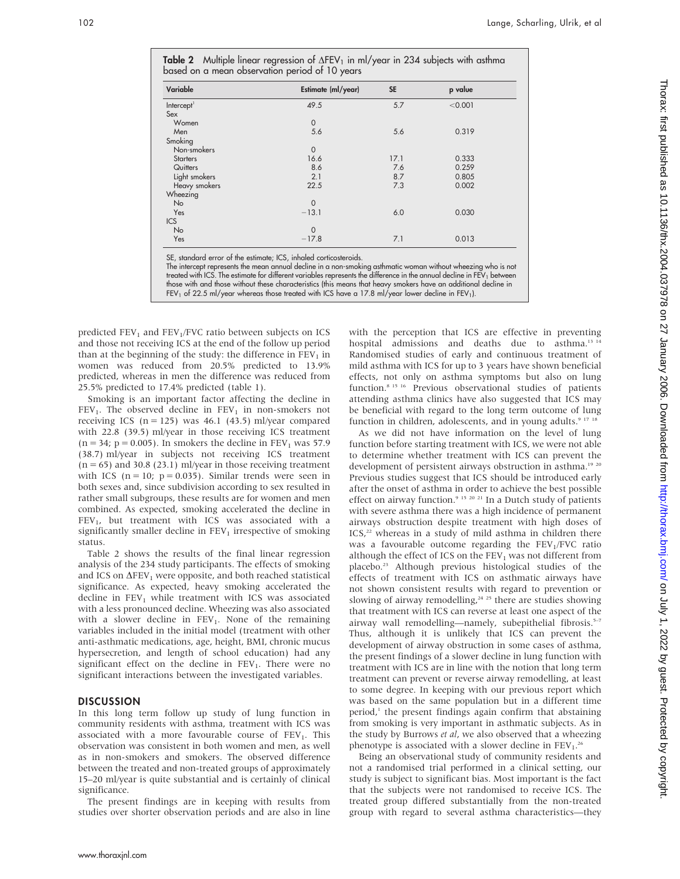Table 2 Multiple linear regression of  $\Delta$ FEV<sub>1</sub> in ml/year in 234 subjects with asthma based on a mean observation period of 10 years

| Variable               | Estimate (ml/year) | <b>SE</b> | p value |  |
|------------------------|--------------------|-----------|---------|--|
| Intercept <sup>1</sup> | 49.5               | 5.7       | < 0.001 |  |
| Sex                    |                    |           |         |  |
| Women                  | $\mathbf 0$        |           |         |  |
| Men                    | 5.6                | 5.6       | 0.319   |  |
| Smoking                |                    |           |         |  |
| Non-smokers            | $\mathbf 0$        |           |         |  |
| <b>Starters</b>        | 16.6               | 17.1      | 0.333   |  |
| Quitters               | 8.6                | 7.6       | 0.259   |  |
| Light smokers          | 2.1                | 8.7       | 0.805   |  |
| Heavy smokers          | 22.5               | 7.3       | 0.002   |  |
| Wheezing               |                    |           |         |  |
| <b>No</b>              | $\mathbf{0}$       |           |         |  |
| Yes                    | $-13.1$            | 6.0       | 0.030   |  |
| <b>ICS</b>             |                    |           |         |  |
| <b>No</b>              | $\mathbf{0}$       |           |         |  |
| Yes                    | $-17.8$            | 7.1       | 0.013   |  |

SE, standard error of the estimate; ICS, inhaled corticosteroids.

The intercept represents the mean annual decline in a non-smoking asthmatic woman without wheezing who is not treated with ICS. The estimate for different variables represents the difference in the annual decline in FEV<sub>1</sub> between those with and those without these characteristics (this means that heavy smokers have an additional decline in FEV<sub>1</sub> of 22.5 ml/year whereas those treated with ICS have a 17.8 ml/year lower decline in FEV<sub>1</sub>).

predicted  $FEV_1$  and  $FEV_1/FVC$  ratio between subjects on ICS and those not receiving ICS at the end of the follow up period than at the beginning of the study: the difference in  $FEV<sub>1</sub>$  in women was reduced from 20.5% predicted to 13.9% predicted, whereas in men the difference was reduced from 25.5% predicted to 17.4% predicted (table 1).

Smoking is an important factor affecting the decline in  $FEV<sub>1</sub>$ . The observed decline in  $FEV<sub>1</sub>$  in non-smokers not receiving ICS  $(n = 125)$  was 46.1 (43.5) ml/year compared with 22.8 (39.5) ml/year in those receiving ICS treatment  $(n = 34; p = 0.005)$ . In smokers the decline in FEV<sub>1</sub> was 57.9 (38.7) ml/year in subjects not receiving ICS treatment  $(n = 65)$  and 30.8 (23.1) ml/year in those receiving treatment with ICS ( $n = 10$ ;  $p = 0.035$ ). Similar trends were seen in both sexes and, since subdivision according to sex resulted in rather small subgroups, these results are for women and men combined. As expected, smoking accelerated the decline in  $FEV<sub>1</sub>$ , but treatment with ICS was associated with a significantly smaller decline in  $FEV<sub>1</sub>$  irrespective of smoking status.

Table 2 shows the results of the final linear regression analysis of the 234 study participants. The effects of smoking and ICS on  $\Delta$ FEV<sub>1</sub> were opposite, and both reached statistical significance. As expected, heavy smoking accelerated the decline in  $FEV<sub>1</sub>$  while treatment with ICS was associated with a less pronounced decline. Wheezing was also associated with a slower decline in  $FEV<sub>1</sub>$ . None of the remaining variables included in the initial model (treatment with other anti-asthmatic medications, age, height, BMI, chronic mucus hypersecretion, and length of school education) had any significant effect on the decline in  $FEV<sub>1</sub>$ . There were no significant interactions between the investigated variables.

#### **DISCUSSION**

In this long term follow up study of lung function in community residents with asthma, treatment with ICS was associated with a more favourable course of  $FEV<sub>1</sub>$ . This observation was consistent in both women and men, as well as in non-smokers and smokers. The observed difference between the treated and non-treated groups of approximately 15–20 ml/year is quite substantial and is certainly of clinical significance.

The present findings are in keeping with results from studies over shorter observation periods and are also in line with the perception that ICS are effective in preventing hospital admissions and deaths due to asthma.<sup>13 14</sup> Randomised studies of early and continuous treatment of mild asthma with ICS for up to 3 years have shown beneficial effects, not only on asthma symptoms but also on lung function.8 15 16 Previous observational studies of patients attending asthma clinics have also suggested that ICS may be beneficial with regard to the long term outcome of lung function in children, adolescents, and in young adults.<sup>9 17 18</sup>

As we did not have information on the level of lung function before starting treatment with ICS, we were not able to determine whether treatment with ICS can prevent the development of persistent airways obstruction in asthma.<sup>19 20</sup> Previous studies suggest that ICS should be introduced early after the onset of asthma in order to achieve the best possible effect on airway function.<sup>9</sup> <sup>15</sup> <sup>20</sup> <sup>21</sup> In a Dutch study of patients with severe asthma there was a high incidence of permanent airways obstruction despite treatment with high doses of  $ICS<sub>2</sub><sup>22</sup>$  whereas in a study of mild asthma in children there was a favourable outcome regarding the  $FEV<sub>1</sub>/FVC$  ratio although the effect of ICS on the  $FEV<sub>1</sub>$  was not different from placebo.23 Although previous histological studies of the effects of treatment with ICS on asthmatic airways have not shown consistent results with regard to prevention or slowing of airway remodelling,  $24 \times 25$  there are studies showing that treatment with ICS can reverse at least one aspect of the airway wall remodelling—namely, subepithelial fibrosis.<sup>5-7</sup> Thus, although it is unlikely that ICS can prevent the development of airway obstruction in some cases of asthma, the present findings of a slower decline in lung function with treatment with ICS are in line with the notion that long term treatment can prevent or reverse airway remodelling, at least to some degree. In keeping with our previous report which was based on the same population but in a different time period, $\lambda$  the present findings again confirm that abstaining from smoking is very important in asthmatic subjects. As in the study by Burrows et al, we also observed that a wheezing phenotype is associated with a slower decline in  $FEV<sub>1</sub>$ .<sup>26</sup>

Being an observational study of community residents and not a randomised trial performed in a clinical setting, our study is subject to significant bias. Most important is the fact that the subjects were not randomised to receive ICS. The treated group differed substantially from the non-treated group with regard to several asthma characteristics—they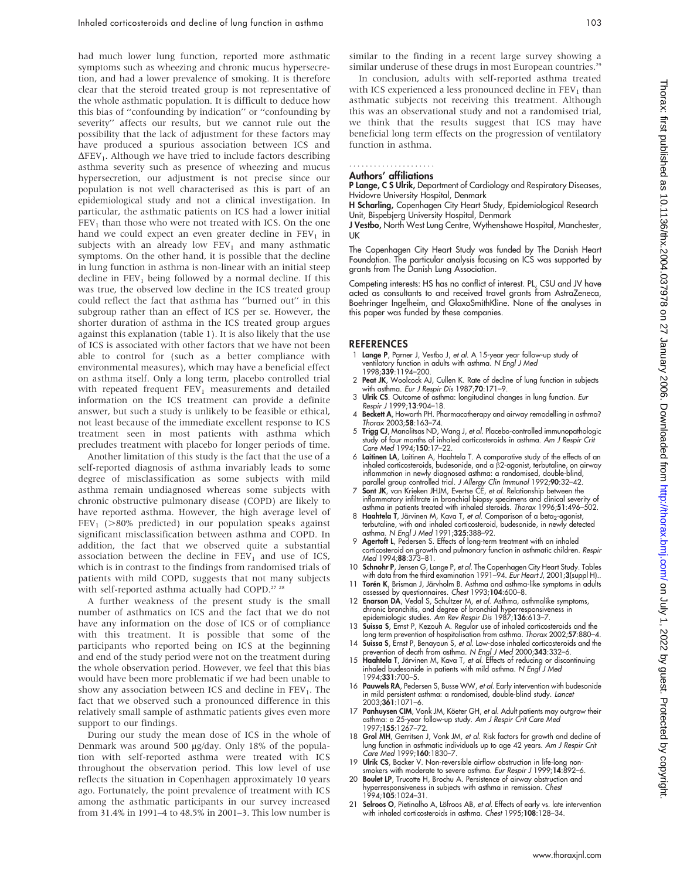had much lower lung function, reported more asthmatic symptoms such as wheezing and chronic mucus hypersecretion, and had a lower prevalence of smoking. It is therefore clear that the steroid treated group is not representative of the whole asthmatic population. It is difficult to deduce how this bias of ''confounding by indication'' or ''confounding by severity'' affects our results, but we cannot rule out the possibility that the lack of adjustment for these factors may have produced a spurious association between ICS and  $\Delta$ FEV<sub>1</sub>. Although we have tried to include factors describing asthma severity such as presence of wheezing and mucus hypersecretion, our adjustment is not precise since our population is not well characterised as this is part of an epidemiological study and not a clinical investigation. In particular, the asthmatic patients on ICS had a lower initial  $FEV<sub>1</sub>$  than those who were not treated with ICS. On the one hand we could expect an even greater decline in  $FEV<sub>1</sub>$  in subjects with an already low  $FEV<sub>1</sub>$  and many asthmatic symptoms. On the other hand, it is possible that the decline in lung function in asthma is non-linear with an initial steep decline in  $FEV_1$  being followed by a normal decline. If this was true, the observed low decline in the ICS treated group could reflect the fact that asthma has ''burned out'' in this subgroup rather than an effect of ICS per se. However, the shorter duration of asthma in the ICS treated group argues against this explanation (table 1). It is also likely that the use of ICS is associated with other factors that we have not been able to control for (such as a better compliance with environmental measures), which may have a beneficial effect on asthma itself. Only a long term, placebo controlled trial with repeated frequent  $FEV<sub>1</sub>$  measurements and detailed information on the ICS treatment can provide a definite answer, but such a study is unlikely to be feasible or ethical, not least because of the immediate excellent response to ICS treatment seen in most patients with asthma which precludes treatment with placebo for longer periods of time.

Another limitation of this study is the fact that the use of a self-reported diagnosis of asthma invariably leads to some degree of misclassification as some subjects with mild asthma remain undiagnosed whereas some subjects with chronic obstructive pulmonary disease (COPD) are likely to have reported asthma. However, the high average level of  $FEV<sub>1</sub>$  (>80% predicted) in our population speaks against significant misclassification between asthma and COPD. In addition, the fact that we observed quite a substantial association between the decline in  $FEV<sub>1</sub>$  and use of ICS, which is in contrast to the findings from randomised trials of patients with mild COPD, suggests that not many subjects with self-reported asthma actually had COPD.<sup>27</sup> <sup>28</sup>

A further weakness of the present study is the small number of asthmatics on ICS and the fact that we do not have any information on the dose of ICS or of compliance with this treatment. It is possible that some of the participants who reported being on ICS at the beginning and end of the study period were not on the treatment during the whole observation period. However, we feel that this bias would have been more problematic if we had been unable to show any association between ICS and decline in  $FEV<sub>1</sub>$ . The fact that we observed such a pronounced difference in this relatively small sample of asthmatic patients gives even more support to our findings.

During our study the mean dose of ICS in the whole of Denmark was around 500 µg/day. Only 18% of the population with self-reported asthma were treated with ICS throughout the observation period. This low level of use reflects the situation in Copenhagen approximately 10 years ago. Fortunately, the point prevalence of treatment with ICS among the asthmatic participants in our survey increased from 31.4% in 1991–4 to 48.5% in 2001–3. This low number is

similar to the finding in a recent large survey showing a similar underuse of these drugs in most European countries.<sup>29</sup>

In conclusion, adults with self-reported asthma treated with ICS experienced a less pronounced decline in  $FEV<sub>1</sub>$  than asthmatic subjects not receiving this treatment. Although this was an observational study and not a randomised trial, we think that the results suggest that ICS may have beneficial long term effects on the progression of ventilatory function in asthma.

#### Authors' affiliations .....................

P Lange, C S Ulrik, Department of Cardiology and Respiratory Diseases, Hvidovre University Hospital, Denmark

H Scharling, Copenhagen City Heart Study, Epidemiological Research Unit, Bispebjerg University Hospital, Denmark

J Vestbo, North West Lung Centre, Wythenshawe Hospital, Manchester, UK

The Copenhagen City Heart Study was funded by The Danish Heart Foundation. The particular analysis focusing on ICS was supported by grants from The Danish Lung Association.

Competing interests: HS has no conflict of interest. PL, CSU and JV have acted as consultants to and received travel grants from AstraZeneca, Boehringer Ingelheim, and GlaxoSmithKline. None of the analyses in this paper was funded by these companies.

#### REFERENCES

- 1 Lange P, Parner J, Vestbo J, et al. A 15-year year follow-up study of ventilatory function in adults with asthma. N Engl J Med 1998;339:1194–200.
- 2 Peat JK, Woolcock AJ, Cullen K. Rate of decline of lung function in subjects with asthma. Eur J Respir Dis 1987;70:171-9.
- 3 Ulrik CS. Outcome of asthma: longitudinal changes in lung function. Eur Respir J 1999;13:904–18.
- 4 Beckett A, Howarth PH. Pharmacotherapy and airway remodelling in asthma? Thorax 2003;58:163–74.
- 5 Trigg CJ, Manolitsas ND, Wang J, et al. Placebo-controlled immunopathologic study of four months of inhaled corticosteroids in asthma. Am J Respir Crit Care Med 1994;150:17–22.
- 6 Laitinen LA, Laitinen A, Haahtela T. A comparative study of the effects of an inhaled corticosteroids, budesonide, and a  $\beta$ 2-agonist, terbutaline, on airway inflammation in newly diagnosed asthma: a randomised, double-blind,<br>parallel group controlled trial. *J Allergy Clin Immunol* 1992;**90**:32–42.
- 7 Sont JK, van Krieken JHJM, Evertse CE, et al. Relationship between the inflammatory infiltrate in bronchial biopsy specimens and clinical severity of asthma in patients treated with inhaled steroids. Thorax 1996;51:496–502.
- 8 Haahtela T, Järvinen M, Kava T, et al. Comparison of a beta<sub>2</sub>-agonist, terbutaline, with and inhaled corticosteroid, budesonide, in newly detected asthma. N Engl J Med 1991;325:388–92.
- 9 Agertoft L, Pedersen S. Effects of long-term treatment with an inhaled corticosteroid on growth and pulmonary function in asthmatic children. Respir Med 1994;88:373–81.
- 10 Schnohr P, Jensen G, Lange P, *et al.* The Copenhagen City Heart Study. Tables<br>with data from the third examination 1991–94. *Eur Heart J*, 2001;3(suppl H)..
- 11 Torén K, Brisman J, Järvholm B. Asthma and asthma-like symptoms in adults assessed by questionnaires. Chest 1993;104:600–8.
- 12 Enarson DA, Vedal S, Schultzer M, et al. Asthma, asthmalike symptoms, chronic bronchitis, and degree of bronchial hyperresponsiveness in epidemiologic studies. Am Rev Respir Dis 1987;136:613-7.
- 13 Suissa S, Ernst P, Kezouh A. Regular use of inhaled corticosteroids and the long term prevention of hospitalisation from asthma. Thorax 2002;57:880–4.
- 14 Suissa S, Ernst P, Benayoun S, et al. Low-dose inhaled corticosteroids and the prevention of death from asthma. N Engl J Med 2000;343:332-6.
- 15 Haahtela T, Järvinen M, Kava T, et al. Effects of reducing or discontinuing inhaled budesonide in patients with mild asthma. N Engl J Med 1994;331:700–5.
- 16 Pauwels RA, Pedersen S, Busse WW, et al. Early intervention with budesonide in mild persistent asthma: a randomised, double-blind study. Lancet 2003;361:1071–6.
- 17 Panhuysen CIM, Vonk JM, Köeter GH, et al. Adult patients may outgrow their asthma: a 25-year follow-up study. Am J Respir Crit Care Med 1997;155:1267–72.
- 18 Grol MH, Gerritsen J, Vonk JM, et al. Risk factors for growth and decline of lung function in asthmatic individuals up to age 42 years. Am J Respir Crit Care Med 1999;160:1830–7.
- 19 Ulrik CS, Backer V. Non-reversible airflow obstruction in life-long nonsmokers with moderate to severe asthma. Eur Respir J 1999;14:892–6.
- 20 Boulet LP, Trucotte H, Brochu A. Persistence of airway obstruction and hyperresponsiveness in subjects with asthma in remission. Chest
- 1994;105:1024–31. 21 Selroos O, Pietinalho A, Löfroos AB, et al. Effects of early vs. late intervention with inhaled corticosteroids in asthma. Chest 1995;108:128–34.